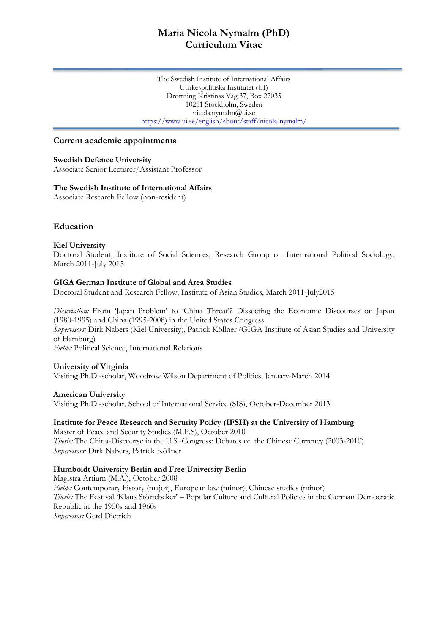# **Maria Nicola Nymalm (PhD) Curriculum Vitae**

The Swedish Institute of International Affairs Utrikespolitiska Institutet (UI) Drottning Kristinas Väg 37, Box 27035 10251 Stockholm, Sweden nicola.nymalm@ui.se https://www.ui.se/english/about/staff/nicola-nymalm/

#### **Current academic appointments**

#### **Swedish Defence University**

Associate Senior Lecturer/Assistant Professor

#### **The Swedish Institute of International Affairs**  Associate Research Fellow (non-resident)

## **Education**

#### **Kiel University**

Doctoral Student, Institute of Social Sciences, Research Group on International Political Sociology, March 2011-July 2015

#### **GIGA German Institute of Global and Area Studies**

Doctoral Student and Research Fellow, Institute of Asian Studies, March 2011-July2015

*Dissertation:* From 'Japan Problem' to 'China Threat'? Dissecting the Economic Discourses on Japan (1980-1995) and China (1995-2008) in the United States Congress *Supervisors:* Dirk Nabers (Kiel University), Patrick Köllner (GIGA Institute of Asian Studies and University of Hamburg) *Fields:* Political Science, International Relations

# **University of Virginia**

Visiting Ph.D.-scholar, Woodrow Wilson Department of Politics, January-March 2014

**American University** Visiting Ph.D.-scholar, School of International Service (SIS), October-December 2013

#### **Institute for Peace Research and Security Policy (IFSH) at the University of Hamburg** Master of Peace and Security Studies (M.P.S), October 2010

*Thesis:* The China-Discourse in the U.S.-Congress: Debates on the Chinese Currency (2003-2010) *Supervisors:* Dirk Nabers, Patrick Köllner

#### **Humboldt University Berlin and Free University Berlin**

Magistra Artium (M.A.), October 2008 *Fields:* Contemporary history (major), European law (minor), Chinese studies (minor) *Thesis:* The Festival 'Klaus Störtebeker' – Popular Culture and Cultural Policies in the German Democratic Republic in the 1950s and 1960s *Supervisor:* Gerd Dietrich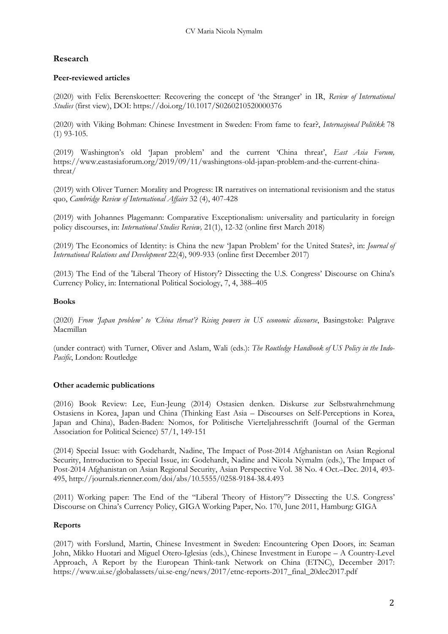# **Research**

## **Peer-reviewed articles**

(2020) with Felix Berenskoetter: Recovering the concept of 'the Stranger' in IR, *Review of International Studies* (first view), DOI: https://doi.org/10.1017/S0260210520000376

(2020) with Viking Bohman: Chinese Investment in Sweden: From fame to fear?, *Internasjonal Politikk* 78 (1) 93-105.

(2019) Washington's old 'Japan problem' and the current 'China threat', *East Asia Forum,*  https://www.eastasiaforum.org/2019/09/11/washingtons-old-japan-problem-and-the-current-chinathreat/

(2019) with Oliver Turner: Morality and Progress: IR narratives on international revisionism and the status quo, *Cambridge Review of International Affairs* 32 (4), 407-428

(2019) with Johannes Plagemann: Comparative Exceptionalism: universality and particularity in foreign policy discourses, in: *International Studies Review,* 21(1), 12-32 (online first March 2018)

(2019) The Economics of Identity: is China the new 'Japan Problem' for the United States?, in: *Journal of International Relations and Development* 22(4), 909-933 (online first December 2017)

(2013) The End of the 'Liberal Theory of History'? Dissecting the U.S. Congress' Discourse on China's Currency Policy, in: International Political Sociology, 7, 4, 388–405

#### **Books**

(2020) *From 'Japan problem' to 'China threat'? Rising powers in US economic discourse*, Basingstoke: Palgrave Macmillan

(under contract) with Turner, Oliver and Aslam, Wali (eds.): *The Routledge Handbook of US Policy in the Indo-Pacific*, London: Routledge

## **Other academic publications**

(2016) Book Review: Lee, Eun-Jeung (2014) Ostasien denken. Diskurse zur Selbstwahrnehmung Ostasiens in Korea, Japan und China (Thinking East Asia – Discourses on Self-Perceptions in Korea, Japan and China), Baden-Baden: Nomos, for Politische Vierteljahresschrift (Journal of the German Association for Political Science) 57/1, 149-151

(2014) Special Issue: with Godehardt, Nadine, The Impact of Post-2014 Afghanistan on Asian Regional Security, Introduction to Special Issue, in: Godehardt, Nadine and Nicola Nymalm (eds.), The Impact of Post-2014 Afghanistan on Asian Regional Security, Asian Perspective Vol. 38 No. 4 Oct.–Dec. 2014, 493- 495, http://journals.rienner.com/doi/abs/10.5555/0258-9184-38.4.493

(2011) Working paper: The End of the "Liberal Theory of History"? Dissecting the U.S. Congress' Discourse on China's Currency Policy, GIGA Working Paper, No. 170, June 2011, Hamburg: GIGA

## **Reports**

(2017) with Forslund, Martin, Chinese Investment in Sweden: Encountering Open Doors, in: Seaman John, Mikko Huotari and Miguel Otero-Iglesias (eds.), Chinese Investment in Europe – A Country-Level Approach, A Report by the European Think-tank Network on China (ETNC), December 2017: https://www.ui.se/globalassets/ui.se-eng/news/2017/etnc-reports-2017\_final\_20dec2017.pdf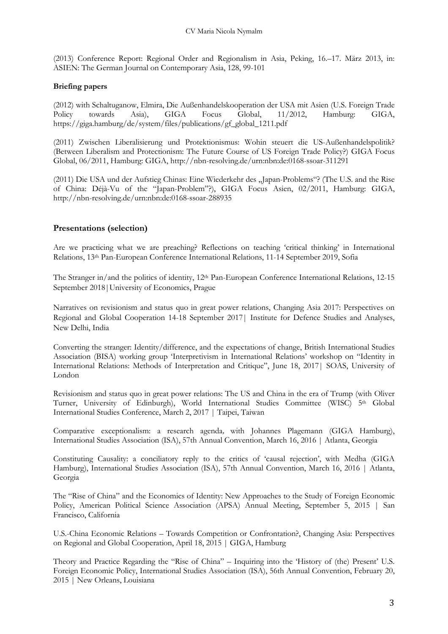(2013) Conference Report: Regional Order and Regionalism in Asia, Peking, 16.–17. März 2013, in: ASIEN: The German Journal on Contemporary Asia, 128, 99-101

#### **Briefing papers**

(2012) with Schaltuganow, Elmira, Die Außenhandelskooperation der USA mit Asien (U.S. Foreign Trade Policy towards Asia), GIGA Focus Global, 11/2012, Hamburg: GIGA, https://giga.hamburg/de/system/files/publications/gf\_global\_1211.pdf

(2011) Zwischen Liberalisierung und Protektionismus: Wohin steuert die US-Außenhandelspolitik? (Between Liberalism and Protectionism: The Future Course of US Foreign Trade Policy?) GIGA Focus Global, 06/2011, Hamburg: GIGA, http://nbn-resolving.de/urn:nbn:de:0168-ssoar-311291

(2011) Die USA und der Aufstieg Chinas: Eine Wiederkehr des "Japan-Problems"? (The U.S. and the Rise of China: Déjà-Vu of the "Japan-Problem"?), GIGA Focus Asien, 02/2011, Hamburg: GIGA, http://nbn-resolving.de/urn:nbn:de:0168-ssoar-288935

## **Presentations (selection)**

Are we practicing what we are preaching? Reflections on teaching 'critical thinking' in International Relations, 13th Pan-European Conference International Relations, 11-14 September 2019, Sofia

The Stranger in/and the politics of identity, 12<sup>th</sup> Pan-European Conference International Relations, 12-15 September 2018|University of Economics, Prague

Narratives on revisionism and status quo in great power relations, Changing Asia 2017: Perspectives on Regional and Global Cooperation 14-18 September 2017| Institute for Defence Studies and Analyses, New Delhi, India

Converting the stranger: Identity/difference, and the expectations of change, British International Studies Association (BISA) working group 'Interpretivism in International Relations' workshop on "Identity in International Relations: Methods of Interpretation and Critique", June 18, 2017| SOAS, University of London

Revisionism and status quo in great power relations: The US and China in the era of Trump (with Oliver Turner, University of Edinburgh), World International Studies Committee (WISC) 5th Global International Studies Conference, March 2, 2017 | Taipei, Taiwan

Comparative exceptionalism: a research agenda*,* with Johannes Plagemann (GIGA Hamburg), International Studies Association (ISA), 57th Annual Convention, March 16, 2016 | Atlanta, Georgia

Constituting Causality: a conciliatory reply to the critics of 'causal rejection', with Medha (GIGA Hamburg), International Studies Association (ISA), 57th Annual Convention, March 16, 2016 | Atlanta, Georgia

The "Rise of China" and the Economics of Identity: New Approaches to the Study of Foreign Economic Policy, American Political Science Association (APSA) Annual Meeting, September 5, 2015 | San Francisco, California

U.S.-China Economic Relations – Towards Competition or Confrontation?, Changing Asia: Perspectives on Regional and Global Cooperation, April 18, 2015 | GIGA, Hamburg

Theory and Practice Regarding the "Rise of China" – Inquiring into the 'History of (the) Present' U.S. Foreign Economic Policy, International Studies Association (ISA), 56th Annual Convention, February 20, 2015 | New Orleans, Louisiana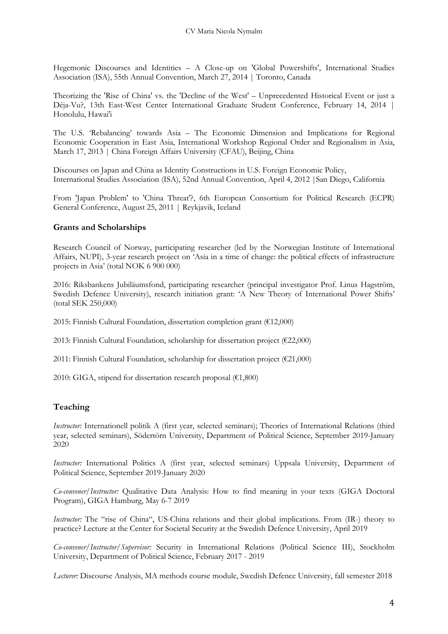Hegemonic Discourses and Identities – A Close-up on 'Global Powershifts', International Studies Association (ISA), 55th Annual Convention, March 27, 2014 | Toronto, Canada

Theorizing the 'Rise of China' vs. the 'Decline of the West' – Unprecedented Historical Event or just a Déja-Vu?, 13th East-West Center International Graduate Student Conference, February 14, 2014 | Honolulu, Hawai'i

The U.S. 'Rebalancing' towards Asia – The Economic Dimension and Implications for Regional Economic Cooperation in East Asia, International Workshop Regional Order and Regionalism in Asia, March 17, 2013 | China Foreign Affairs University (CFAU), Beijing, China

Discourses on Japan and China as Identity Constructions in U.S. Foreign Economic Policy, International Studies Association (ISA), 52nd Annual Convention, April 4, 2012 |San Diego, California

From 'Japan Problem' to 'China Threat'?, 6th European Consortium for Political Research (ECPR) General Conference, August 25, 2011 | Reykjavik, Iceland

#### **Grants and Scholarships**

Research Council of Norway, participating researcher (led by the Norwegian Institute of International Affairs, NUPI), 3-year research project on 'Asia in a time of change: the political effects of infrastructure projects in Asia' (total NOK 6 900 000)

2016: Riksbankens Jubiläumsfond, participating researcher (principal investigator Prof. Linus Hagström, Swedish Defence University), research initiation grant: 'A New Theory of International Power Shifts' (total SEK 250,000)

2015: Finnish Cultural Foundation, dissertation completion grant (€12,000)

2013: Finnish Cultural Foundation, scholarship for dissertation project (€22,000)

2011: Finnish Cultural Foundation, scholarship for dissertation project ( $E21,000$ )

2010: GIGA, stipend for dissertation research proposal ( $E1,800$ )

## **Teaching**

*Instructor:* Internationell politik A (first year, selected seminars); Theories of International Relations (third year, selected seminars), Södertörn University, Department of Political Science, September 2019-January 2020

*Instructor:* International Politics A (first year, selected seminars) Uppsala University, Department of Political Science, September 2019-January 2020

*Co-convener/Instructor:* Qualitative Data Analysis: How to find meaning in your texts (GIGA Doctoral Program), GIGA Hamburg, May 6-7 2019

*Instructor:* The "rise of China", US-China relations and their global implications. From (IR-) theory to practice? Lecture at the Center for Societal Security at the Swedish Defence University, April 2019

*Co-convener/Instructor/Supervisor:* Security in International Relations (Political Science III), Stockholm University, Department of Political Science, February 2017 - 2019

*Lecturer:* Discourse Analysis, MA methods course module, Swedish Defence University, fall semester 2018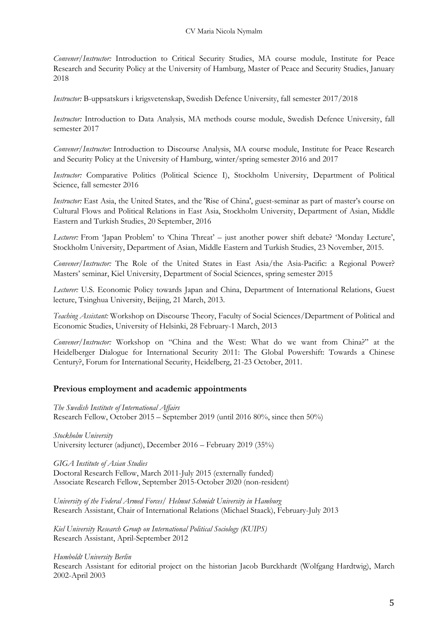*Convener/Instructor:* Introduction to Critical Security Studies, MA course module, Institute for Peace Research and Security Policy at the University of Hamburg, Master of Peace and Security Studies, January 2018

*Instructor:* B-uppsatskurs i krigsvetenskap, Swedish Defence University, fall semester 2017/2018

*Instructor:* Introduction to Data Analysis, MA methods course module, Swedish Defence University, fall semester 2017

*Convener/Instructor:* Introduction to Discourse Analysis, MA course module, Institute for Peace Research and Security Policy at the University of Hamburg, winter/spring semester 2016 and 2017

*Instructor:* Comparative Politics (Political Science I), Stockholm University, Department of Political Science, fall semester 2016

*Instructor:* East Asia, the United States, and the 'Rise of China', guest-seminar as part of master's course on Cultural Flows and Political Relations in East Asia, Stockholm University, Department of Asian, Middle Eastern and Turkish Studies, 20 September, 2016

*Lecturer:* From 'Japan Problem' to 'China Threat' – just another power shift debate? 'Monday Lecture', Stockholm University, Department of Asian, Middle Eastern and Turkish Studies, 23 November, 2015.

*Convener/Instructor:* The Role of the United States in East Asia/the Asia-Pacific: a Regional Power? Masters' seminar, Kiel University, Department of Social Sciences, spring semester 2015

*Lecturer:* U.S. Economic Policy towards Japan and China, Department of International Relations, Guest lecture, Tsinghua University, Beijing, 21 March, 2013.

*Teaching Assistant:* Workshop on Discourse Theory, Faculty of Social Sciences/Department of Political and Economic Studies, University of Helsinki, 28 February-1 March, 2013

*Convener/Instructor:* Workshop on "China and the West: What do we want from China?" at the Heidelberger Dialogue for International Security 2011: The Global Powershift: Towards a Chinese Century?, Forum for International Security, Heidelberg, 21-23 October, 2011.

## **Previous employment and academic appointments**

*The Swedish Institute of International Affairs* Research Fellow, October 2015 – September 2019 (until 2016 80%, since then 50%)

*Stockholm University* University lecturer (adjunct), December 2016 – February 2019 (35%)

*GIGA Institute of Asian Studies* Doctoral Research Fellow, March 2011-July 2015 (externally funded) Associate Research Fellow, September 2015-October 2020 (non-resident)

*University of the Federal Armed Forces/ Helmut Schmidt University in Hamburg*  Research Assistant, Chair of International Relations (Michael Staack), February-July 2013

*Kiel University Research Group on International Political Sociology (KUIPS)*  Research Assistant, April-September 2012

*Humboldt University Berlin*  Research Assistant for editorial project on the historian Jacob Burckhardt (Wolfgang Hardtwig), March 2002-April 2003